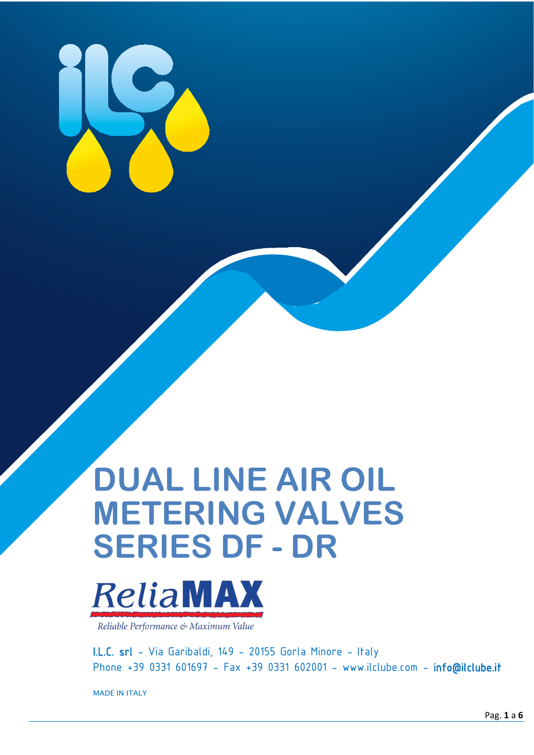

# **DUAL LINE AIR OIL METERING VALVES SERIES DF - DR**



Reliable Performance & Maximum Value

I.L.C. srl - Via Garibaldi, 149 - 20155 Gorla Minore - Italy Phone +39 0331 601697 - Fax +39 0331 602001 - [www.ilclube.com](http://www.ilclube.com/) - [inf](mailto:info@ilclube.it)[o@ilclube.it](mailto:o@ilclube.it) 

MADE IN ITALY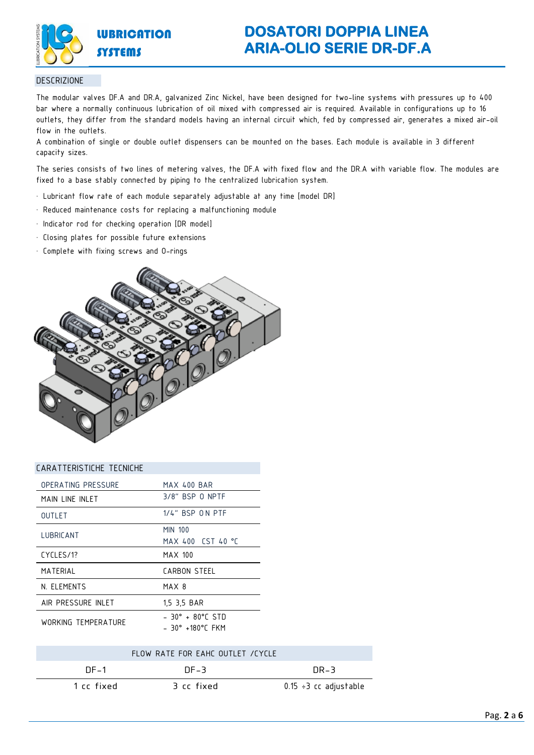

# **DOSATORI DOPPIA LINEA ARIA-OLIO SERIE DR-DF.A**

#### DESCRIZIONE

The modular valves DF.A and DR.A, galvanized Zinc Nickel, have been designed for two-line systems with pressures up to 400 bar where a normally continuous lubrication of oil mixed with compressed air is required. Available in configurations up to 16 outlets, they differ from the standard models having an internal circuit which, fed by compressed air, generates a mixed air-oil flow in the outlets.

A combination of single or double outlet dispensers can be mounted on the bases. Each module is available in 3 different capacity sizes.

The series consists of two lines of metering valves, the DF.A with fixed flow and the DR.A with variable flow. The modules are fixed to a base stably connected by piping to the centralized lubrication system.

- Lubricant flow rate of each module separately adjustable at any time [model DR]
- Reduced maintenance costs for replacing a malfunctioning module
- Indicator rod for checking operation [DR model]
- Closing plates for possible future extensions
- Complete with fixing screws and O-rings



| CARATTERISTICHE TECNICHE |                                                      |
|--------------------------|------------------------------------------------------|
| OPERATING PRESSURE       | <b>MAX 400 BAR</b>                                   |
| MAIN LINE INLET          | 3/8" BSP 0 NPTF                                      |
| <b>OUTLET</b>            | 1/4" BSP ON PTF                                      |
| LUBRICANT                | <b>MIN 100</b><br>MAX 400 CST 40 °C                  |
| CYCLES/1?                | MAX 100                                              |
| MATERIAL                 | CARBON STEEL                                         |
| N. ELEMENTS              | MAX 8                                                |
| AIR PRESSURE INLET       | 1,5 3,5 BAR                                          |
| WORKING TFMPFRATURF      | $-30^{\circ} + 80^{\circ}$ C STD<br>- 30° +180°C FKM |
|                          |                                                      |

|            | FLOW RATE FOR FAHE OUTLET / CYCLE |                             |
|------------|-----------------------------------|-----------------------------|
| $DF-1$     | $DF-3$                            | $\overline{DR-3}$           |
| 1 cc fixed | B cc fixed                        | $0.15 \div 3$ cc adjustable |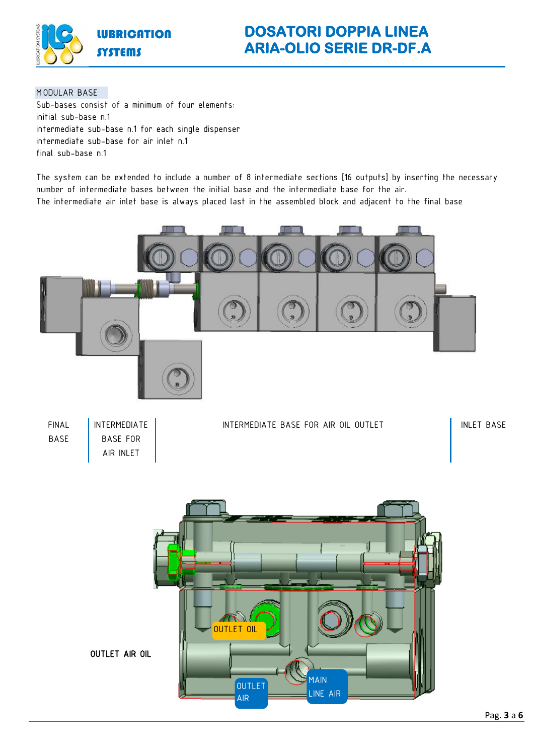![](_page_2_Picture_0.jpeg)

#### MODULAR BASE

Sub-bases consist of a minimum of four elements: initial sub-base n.1 intermediate sub-base n.1 for each single dispenser intermediate sub-base for air inlet n.1 final sub-base n.1

The system can be extended to include a number of 8 intermediate sections [16 outputs] by inserting the necessary number of intermediate bases between the initial base and the intermediate base for the air. The intermediate air inlet base is always placed last in the assembled block and adjacent to the final base

![](_page_2_Figure_5.jpeg)

![](_page_2_Picture_6.jpeg)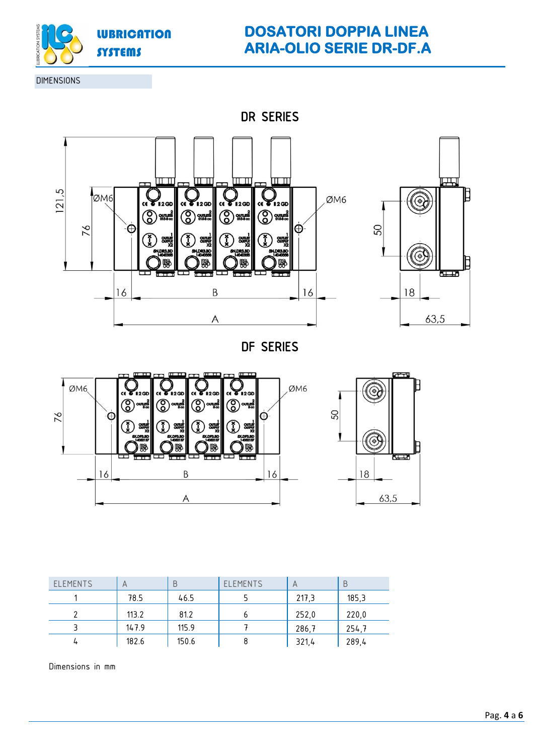![](_page_3_Picture_0.jpeg)

# **DOSATORI DOPPIA LINEA ARIA-OLIO SERIE DR-DF.A**

DIMENSIONS

DR SERIES

![](_page_3_Figure_4.jpeg)

DF SERIES

![](_page_3_Figure_6.jpeg)

![](_page_3_Figure_7.jpeg)

| <b>ELEMENTS</b> | A     | B     | <b>ELEMENTS</b> | A     | Β     |
|-----------------|-------|-------|-----------------|-------|-------|
|                 | 78.5  | 46.5  |                 | 217,3 | 185,3 |
|                 | 113.2 | 81.2  |                 | 252,0 | 220,0 |
|                 | 147.9 | 115.9 |                 | 286,7 | 254,7 |
|                 | 182.6 | 150.6 |                 | 321,4 | 289,4 |

Dimensions in mm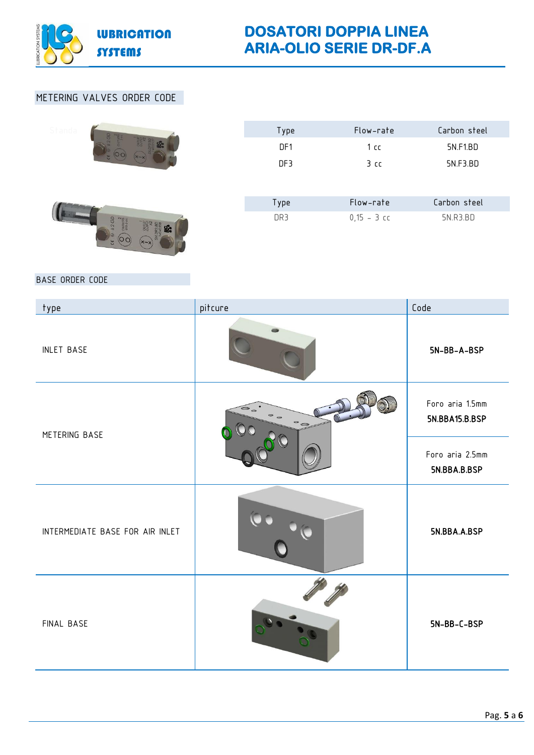![](_page_4_Picture_0.jpeg)

# METERING VALVES ORDER CODE

| Standa                                      | Type | Flow-rate      | Carbon steel |
|---------------------------------------------|------|----------------|--------------|
|                                             | DF1  | 1cc            | 5N.F1.BD     |
|                                             | DF3  | 3 <sub>c</sub> | 5N.F3.BD     |
|                                             |      |                |              |
|                                             | Type | Flow-rate      | Carbon steel |
| 2 GD<br>ouners<br>OIS-3 per<br>y<br>$x - x$ | DR3  | $0,15 - 3$ cc  | 5N.R3.BD     |

## BASE ORDER CODE

| type                            | pitcure                                    | Code                              |
|---------------------------------|--------------------------------------------|-----------------------------------|
| <b>INLET BASE</b>               |                                            | 5N-BB-A-BSP                       |
| METERING BASE                   | $\epsilon$ .<br>$\circ$ $\circ$<br>$\circ$ | Foro aria 1.5mm<br>5N.BBA15.B.BSP |
|                                 |                                            | Foro aria 2.5mm<br>5N.BBA.B.BSP   |
| INTERMEDIATE BASE FOR AIR INLET |                                            | 5N.BBA.A.BSP                      |
| FINAL BASE                      |                                            | $5N-BB-C-BSP$                     |